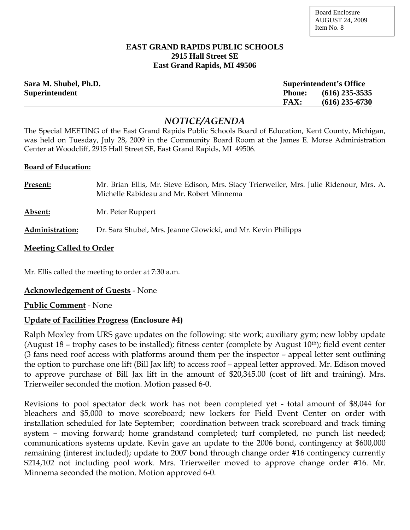#### **EAST GRAND RAPIDS PUBLIC SCHOOLS 2915 Hall Street SE East Grand Rapids, MI 49506**

| Sara M. Shubel, Ph.D. | <b>Superintendent's Office</b> |                  |
|-----------------------|--------------------------------|------------------|
| <b>Superintendent</b> | <b>Phone:</b>                  | $(616)$ 235-3535 |
|                       | <b>FAX:</b>                    | $(616)$ 235-6730 |

# *NOTICE/AGENDA*

The Special MEETING of the East Grand Rapids Public Schools Board of Education, Kent County, Michigan, was held on Tuesday, July 28, 2009 in the Community Board Room at the James E. Morse Administration Center at Woodcliff, 2915 Hall Street SE, East Grand Rapids, MI 49506.

#### **Board of Education:**

| Present:        | Mr. Brian Ellis, Mr. Steve Edison, Mrs. Stacy Trierweiler, Mrs. Julie Ridenour, Mrs. A.<br>Michelle Rabideau and Mr. Robert Minnema |
|-----------------|-------------------------------------------------------------------------------------------------------------------------------------|
| Absent:         | Mr. Peter Ruppert                                                                                                                   |
| Administration: | Dr. Sara Shubel, Mrs. Jeanne Glowicki, and Mr. Kevin Philipps                                                                       |

## **Meeting Called to Order**

Mr. Ellis called the meeting to order at 7:30 a.m.

## **Acknowledgement of Guests** - None

**Public Comment** - None

## **Update of Facilities Progress (Enclosure #4)**

Ralph Moxley from URS gave updates on the following: site work; auxiliary gym; new lobby update (August 18 – trophy cases to be installed); fitness center (complete by August  $10<sup>th</sup>$ ); field event center (3 fans need roof access with platforms around them per the inspector – appeal letter sent outlining the option to purchase one lift (Bill Jax lift) to access roof – appeal letter approved. Mr. Edison moved to approve purchase of Bill Jax lift in the amount of \$20,345.00 (cost of lift and training). Mrs. Trierweiler seconded the motion. Motion passed 6-0.

Revisions to pool spectator deck work has not been completed yet - total amount of \$8,044 for bleachers and \$5,000 to move scoreboard; new lockers for Field Event Center on order with installation scheduled for late September; coordination between track scoreboard and track timing system – moving forward; home grandstand completed; turf completed, no punch list needed; communications systems update. Kevin gave an update to the 2006 bond, contingency at \$600,000 remaining (interest included); update to 2007 bond through change order #16 contingency currently \$214,102 not including pool work. Mrs. Trierweiler moved to approve change order #16. Mr. Minnema seconded the motion. Motion approved 6-0.